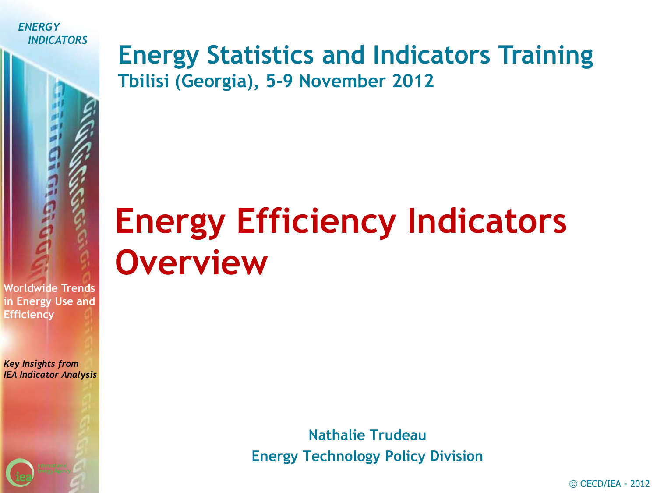

### **Energy Statistics and Indicators Training Tbilisi (Georgia), 5-9 November 2012**

### **Energy Efficiency Indicators Overview**

**Worldwide Trends in Energy Use and Efficiency**

*Key Insights from IEA Indicator Analysis*

> **Nathalie Trudeau Energy Technology Policy Division**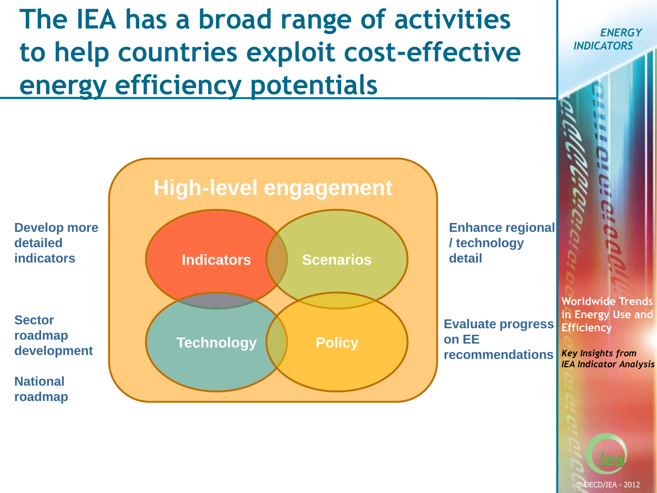### **The IEA has a broad range of activities to help countries exploit cost-effective energy efficiency potentials**

**Worldwide Trends in Energy Use and Efficiency** *Key Insights from IEA Indicator Analysis* **High-level engagement Indicators Scenarios Technology Policy Develop more detailed indicators Enhance regional / technology detail Sector roadmap development National roadmap Evaluate progress on EE recommendations**

© OECD/IEA - 2012

*ENERGY*

*INDICATORS*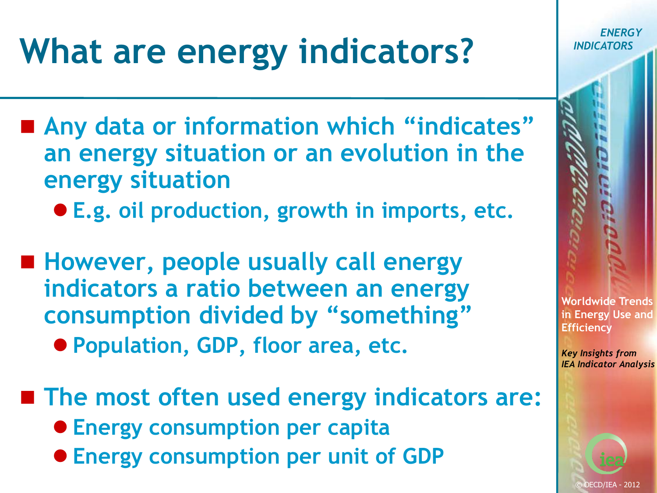# **What are energy indicators?**

- Any data or information which "indicates" **an energy situation or an evolution in the energy situation**
	- **E.g. oil production, growth in imports, etc.**
- However, people usually call energy **indicators a ratio between an energy consumption divided by "something"**
	- **Population, GDP, floor area, etc.**
- **The most often used energy indicators are: Energy consumption per capita Energy consumption per unit of GDP**



*ENERGY*

*INDICATORS*

*Key Insights from IEA Indicator Analysis*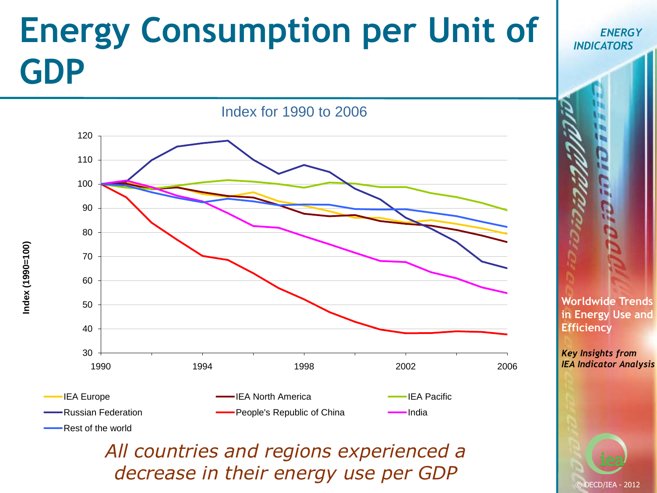## **Energy Consumption per Unit of GDP**



Rest of the world

*All countries and regions experienced a decrease in their energy use per GDP*

**Worldwide Trends in Energy Use and Efficiency**

*ENERGY*

*INDICATORS*

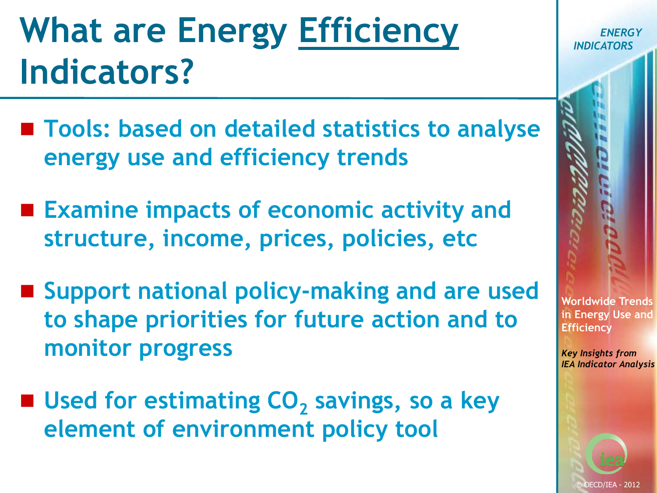### **What are Energy Efficiency Indicators?**

- Tools: based on detailed statistics to analyse **energy use and efficiency trends**
- **Examine impacts of economic activity and structure, income, prices, policies, etc**
- Support national policy-making and are used **to shape priorities for future action and to monitor progress**
- Used for estimating CO<sub>2</sub> savings, so a key **element of environment policy tool**

**Worldwide Trends in Energy Use and Efficiency**

*ENERGY*

*INDICATORS*

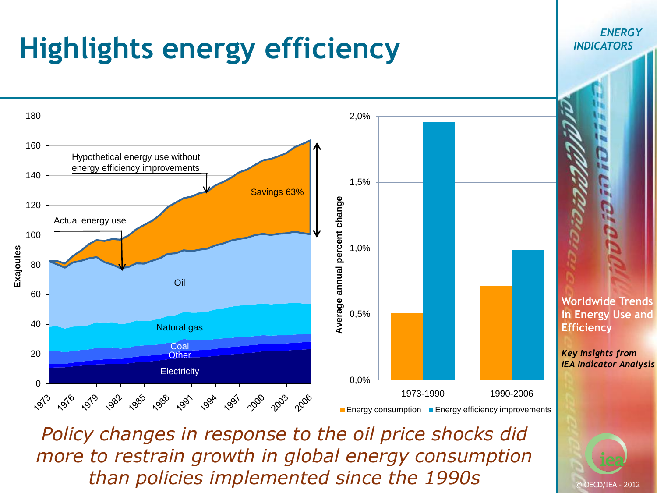

*Policy changes in response to the oil price shocks did more to restrain growth in global energy consumption than policies implemented since the 1990s*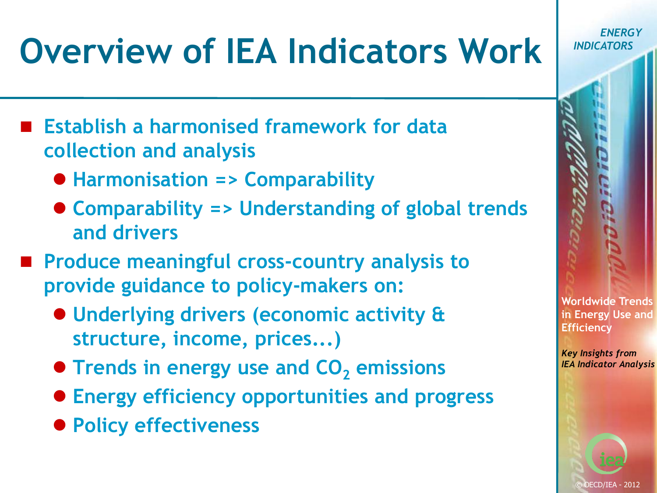# **Overview of IEA Indicators Work**

- **Establish a harmonised framework for data collection and analysis**
	- **Harmonisation => Comparability**
	- **Comparability => Understanding of global trends and drivers**
- Produce meaningful cross-country analysis to **provide guidance to policy-makers on:**
	- **Underlying drivers (economic activity & structure, income, prices...)**
	- **Trends in energy use and CO<sub>2</sub> emissions**
	- **Energy efficiency opportunities and progress**
	- **Policy effectiveness**

*ENERGY INDICATORS*

**Worldwide Trends in Energy Use and Efficiency**

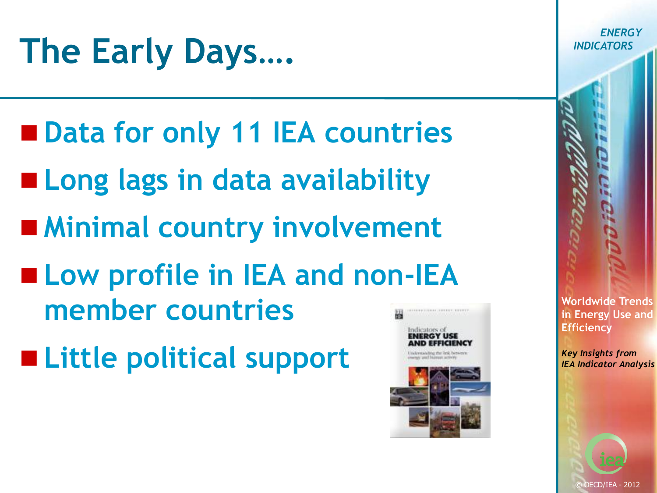### **The Early Days….**

- Data for only 11 IEA countries
- **Long lags in data availability**
- **Minimal country involvement**
- **Low profile in IEA and non-IEA member countries**
- **Little political support**



**Worldwide Trends in Energy Use and Efficiency**

*ENERGY*

*INDICATORS*

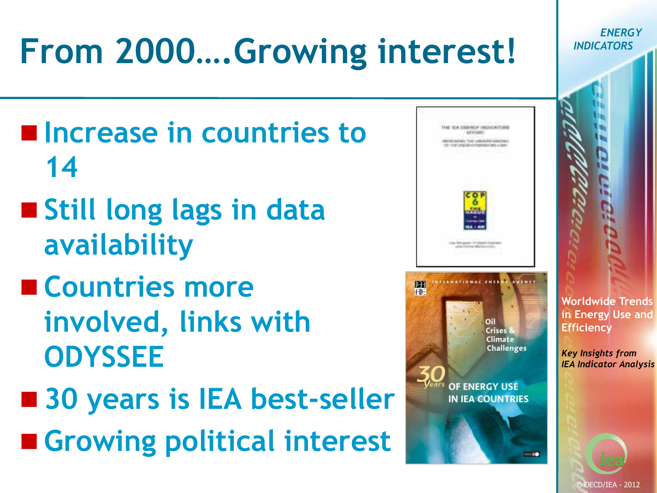#### *ENERGY* **From 2000….Growing interest!** *INDICATORS* **Increase in countries to Hard Link Education Information Print WATER COAST ENEMY TOE CARRIERIAN 14 Still long lags in data availability Countries more FRNATIONAL FNER ISSN FIF Worldwide Trends involved, links with in Energy Use and Efficiency Climate ODYSSEE Challenges** *Key Insights from IEA Indicator Analysis* OF ENERGY USE ■ 30 years is IEA best-seller **IN IEA COUNTRIES Growing political interest**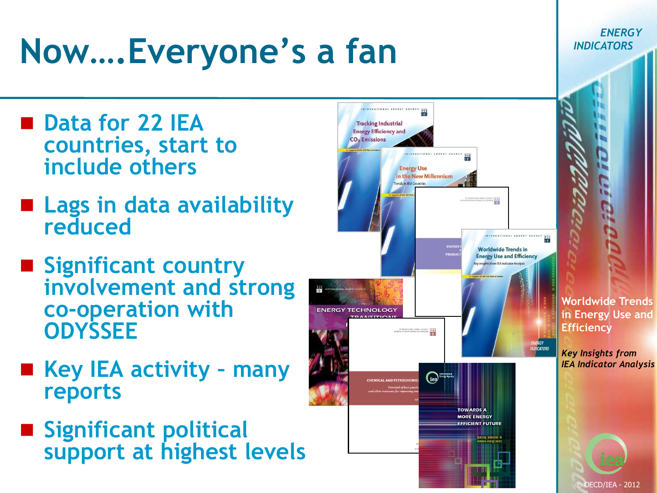## **Now….Everyone's a fan**

- Data for 22 IEA **countries, start to include others**
- **Lags in data availability reduced**
- **E** Significant country **involvement and strong co-operation with ODYSSEE**
- **Key IEA activity – many reports**
- **Significant political support at highest levels**



**Worldwide Trends in Energy Use and Efficiency**

*ENERGY*

*INDICATORS*

*Key Insights from IEA Indicator Analysis*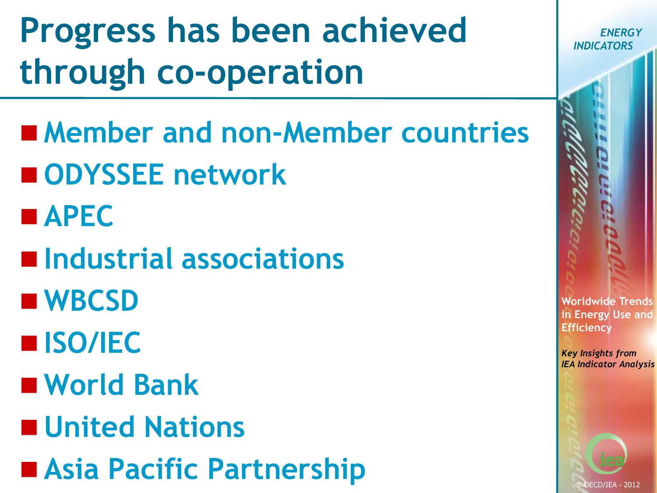**Progress has been achieved through co-operation**

- **Member and non-Member countries** ■ ODYSSEE network
- **APEC**
- **Industrial associations**
- **WBCSD**
- **ISO/IEC**
- **World Bank**
- **United Nations**
- **Asia Pacific Partnership**

*ENERGY INDICATORS*

**Worldwide Trends in Energy Use and Efficiency**

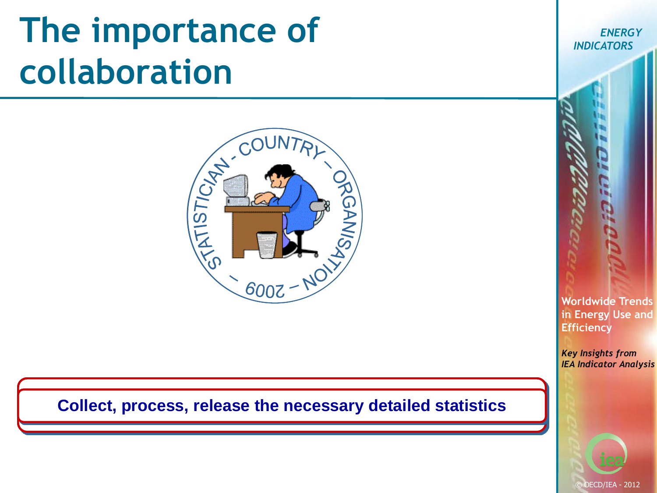### **The importance of collaboration**



#### **Exploit the indicators, indicates and indicates and indicates and indicates and indicates actions, the indicates of the indicates**  $\epsilon$ **for the discussion of the policies the statistics, build in the statistics, and the statistics, and the propose**  $\mu$  and the propose  $\mu$ **Collect, process, release the necessary detailed statistics**

*ENERGY INDICATORS*

**Worldwide Trends in Energy Use and Efficiency**

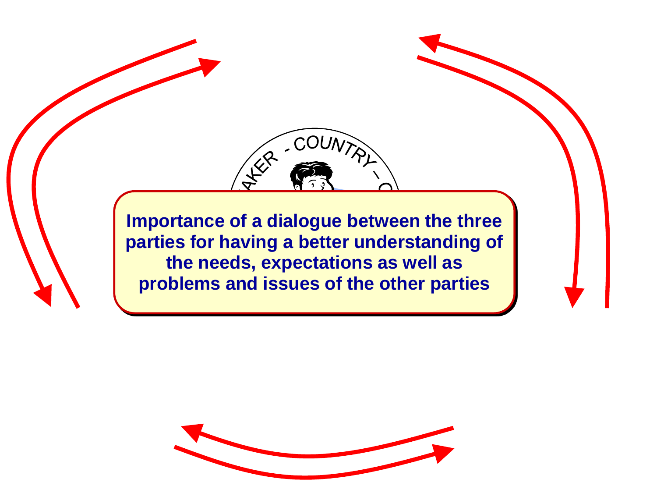**Importance of a dialogue between the three parties for having a better understanding of the needs, expectations as well as problems and issues of the other parties**

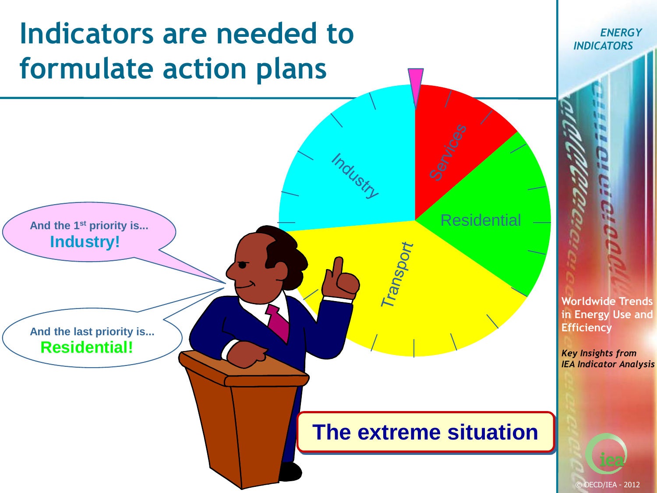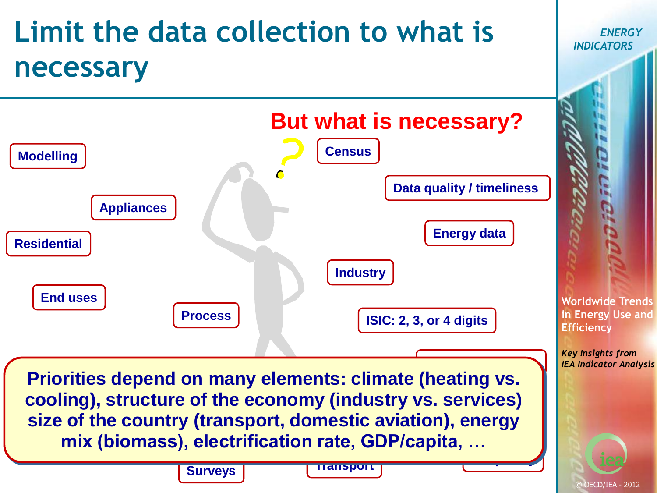### **Limit the data collection to what is necessary**



*ENERGY*

*INDICATORS*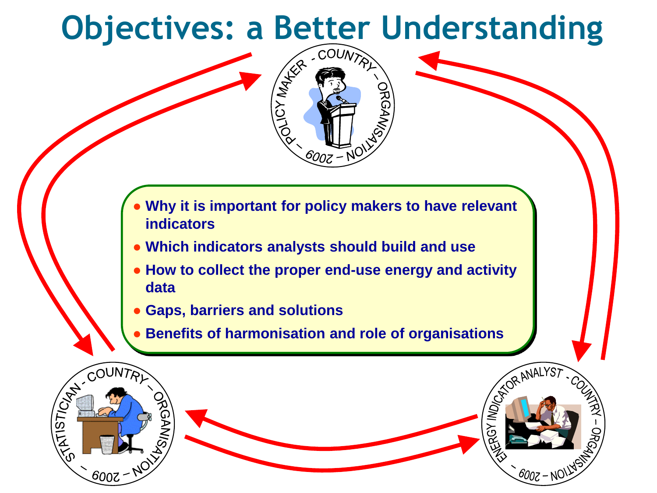# **Objectives: a Better Understanding**



- **Why it is important for policy makers to have relevant indicators**
- **Which indicators analysts should build and use**
- **How to collect the proper end-use energy and activity data**
- **Gaps, barriers and solutions**
- **Benefits of harmonisation and role of organisations**

DE CORANALYST

*600z —* N<sup>(</sup>

**DROM** 

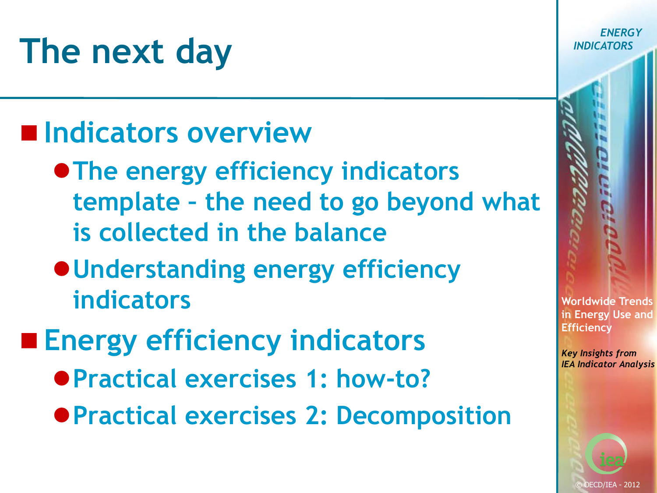## **The next day**

### **Indicators overview**

- **The energy efficiency indicators template – the need to go beyond what is collected in the balance**
- **Understanding energy efficiency indicators**
- **Energy efficiency indicators**
	- **Practical exercises 1: how-to?**
	- **Practical exercises 2: Decomposition**

**Worldwide Trends in Energy Use and Efficiency**

*ENERGY*

*INDICATORS*